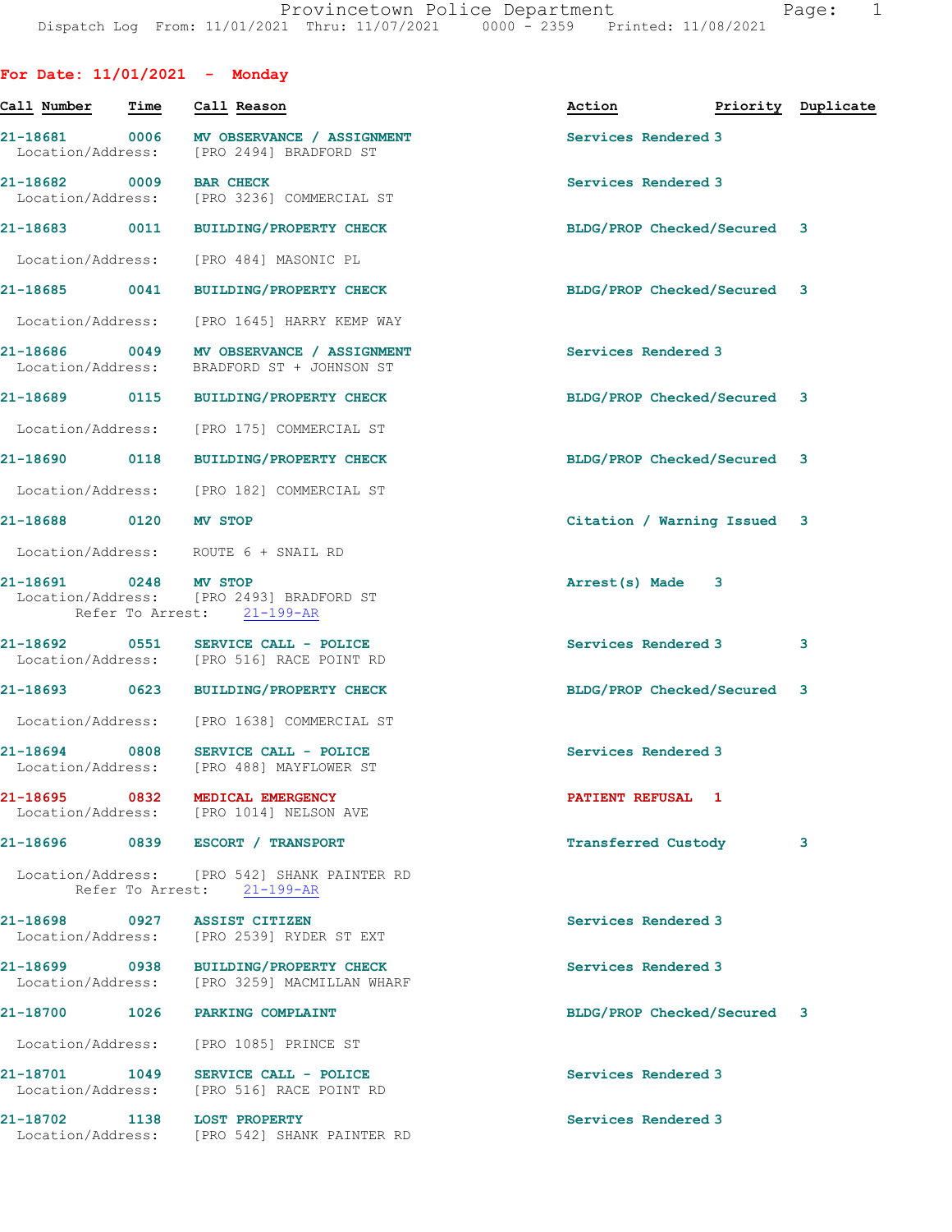| For Date: $11/01/2021$ - Monday    |                                                                                       |                                  |   |
|------------------------------------|---------------------------------------------------------------------------------------|----------------------------------|---|
| Call Number - Time                 | Call Reason                                                                           | Action <b>Priority</b> Duplicate |   |
| 21-18681 0006<br>Location/Address: | MV OBSERVANCE / ASSIGNMENT<br>[PRO 2494] BRADFORD ST                                  | Services Rendered 3              |   |
| 21-18682 0009<br>Location/Address: | <b>BAR CHECK</b><br>[PRO 3236] COMMERCIAL ST                                          | Services Rendered 3              |   |
|                                    | 21-18683 0011 BUILDING/PROPERTY CHECK                                                 | BLDG/PROP Checked/Secured 3      |   |
|                                    | Location/Address: [PRO 484] MASONIC PL                                                |                                  |   |
|                                    | 21-18685 0041 BUILDING/PROPERTY CHECK                                                 | BLDG/PROP Checked/Secured 3      |   |
| Location/Address:                  | [PRO 1645] HARRY KEMP WAY                                                             |                                  |   |
| Location/Address:                  | BRADFORD ST + JOHNSON ST                                                              | Services Rendered 3              |   |
|                                    | 21-18689 0115 BUILDING/PROPERTY CHECK                                                 | BLDG/PROP Checked/Secured 3      |   |
|                                    | Location/Address: [PRO 175] COMMERCIAL ST                                             |                                  |   |
|                                    | 21-18690 0118 BUILDING/PROPERTY CHECK                                                 | BLDG/PROP Checked/Secured 3      |   |
|                                    | Location/Address: [PRO 182] COMMERCIAL ST                                             |                                  |   |
| 21-18688 0120 MV STOP              |                                                                                       | Citation / Warning Issued 3      |   |
|                                    | Location/Address: ROUTE 6 + SNAIL RD                                                  |                                  |   |
| 21-18691 0248 MV STOP              | Location/Address: [PRO 2493] BRADFORD ST<br>Refer To Arrest: 21-199-AR                | Arrest(s) Made 3                 |   |
|                                    | 21-18692 0551 SERVICE CALL - POLICE<br>Location/Address: [PRO 516] RACE POINT RD      | Services Rendered 3              | 3 |
|                                    | 21-18693 0623 BUILDING/PROPERTY CHECK                                                 | BLDG/PROP Checked/Secured 3      |   |
|                                    | Location/Address: [PRO 1638] COMMERCIAL ST                                            |                                  |   |
|                                    | 21-18694 0808 SERVICE CALL - POLICE<br>Location/Address: [PRO 488] MAYFLOWER ST       | Services Rendered 3              |   |
|                                    | 21-18695 0832 MEDICAL EMERGENCY<br>Location/Address: [PRO 1014] NELSON AVE            | PATIENT REFUSAL 1                |   |
|                                    | 21-18696 0839 ESCORT / TRANSPORT                                                      | Transferred Custody              | 3 |
|                                    | Location/Address: [PRO 542] SHANK PAINTER RD<br>Refer To Arrest: 21-199-AR            |                                  |   |
| 21-18698 0927 ASSIST CITIZEN       | Location/Address: [PRO 2539] RYDER ST EXT                                             | Services Rendered 3              |   |
|                                    | 21-18699 0938 BUILDING/PROPERTY CHECK<br>Location/Address: [PRO 3259] MACMILLAN WHARF | Services Rendered 3              |   |
|                                    | 21-18700 1026 PARKING COMPLAINT                                                       | BLDG/PROP Checked/Secured 3      |   |
|                                    | Location/Address: [PRO 1085] PRINCE ST                                                |                                  |   |
|                                    | 21-18701 1049 SERVICE CALL - POLICE<br>Location/Address: [PRO 516] RACE POINT RD      | Services Rendered 3              |   |
| 21-18702 1138 LOST PROPERTY        | Location/Address: [PRO 542] SHANK PAINTER RD                                          | Services Rendered 3              |   |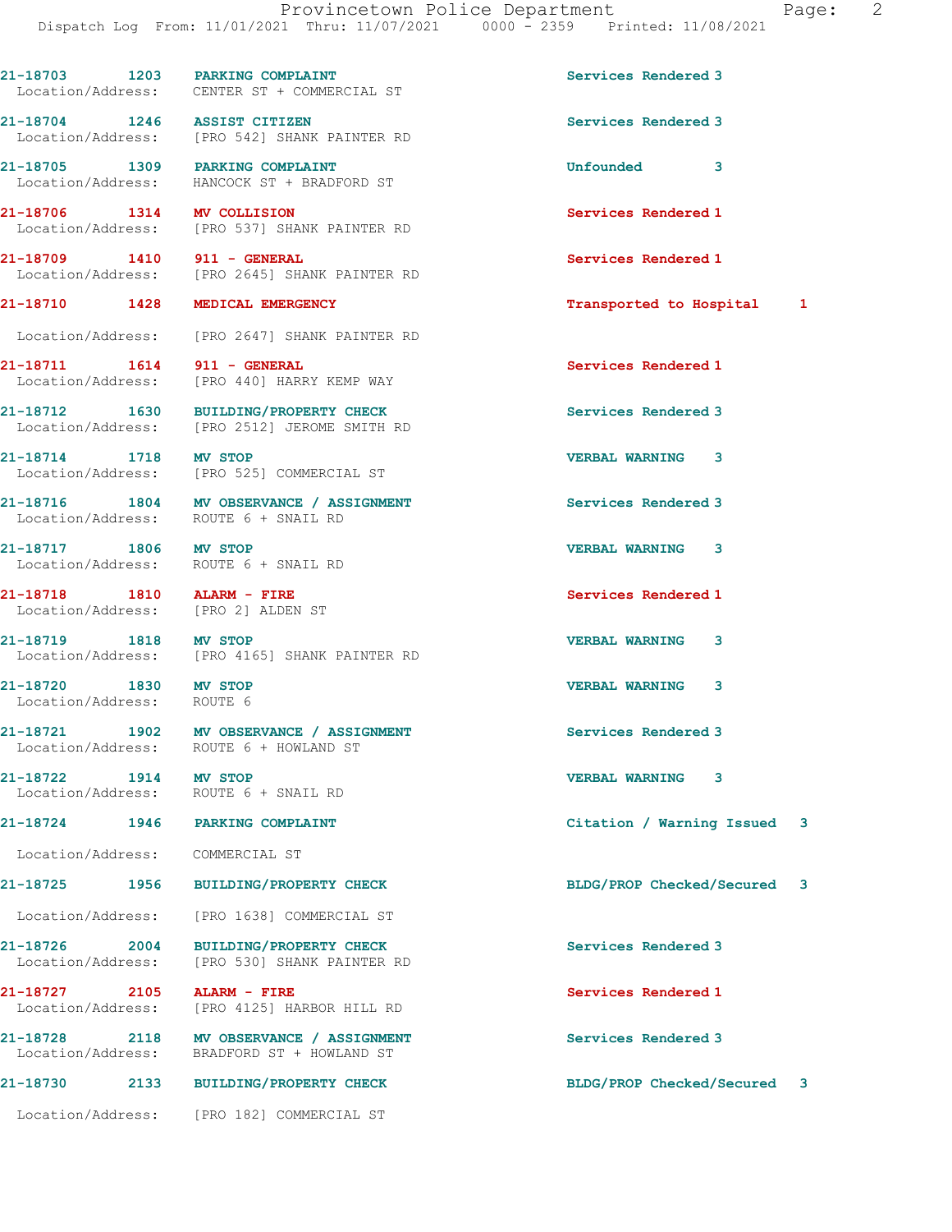21-18703 1203 PARKING COMPLAINT 1203 21-18703 Services Rendered 3

21-18704 1246 ASSIST CITIZEN (21-18704 Services Rendered 3<br>
Location/Address: [PRO 542] SHANK PAINTER RD

[PRO 542] SHANK PAINTER RD

Location/Address: CENTER ST + COMMERCIAL ST

Location/Address: HANCOCK ST + BRADFORD ST

Location/Address: [PRO 537] SHANK PAINTER RD

Location/Address: [PRO 2645] SHANK PAINTER RD

21-18710 1428 MEDICAL EMERGENCY Transported to Hospital 1 Location/Address: [PRO 2647] SHANK PAINTER RD 21-18711 1614 911 - GENERAL Services Rendered 1 Location/Address: [PRO 440] HARRY KEMP WAY 21-18712 1630 BUILDING/PROPERTY CHECK Services Rendered 3 Location/Address: [PRO 2512] JEROME SMITH RD 21-18714 1718 MV STOP 121-18714 1718 MV STOP 121-18714 1718 21-18714 1718 MK STOP 121-18714 1718 23 [PRO 525] COMMERCIAL ST 21-18716 1804 MV OBSERVANCE / ASSIGNMENT Services Rendered 3 Location/Address: ROUTE 6 + SNAIL RD 21-18717 1806 MV STOP VERBAL WARNING 3 Location/Address: ROUTE 6 + SNAIL RD 21-18718 1810 ALARM - FIRE Services Rendered 1 Location/Address: [PRO 2] ALDEN ST 21-18719 1818 MV STOP VERBAL WARNING 3 Location/Address: [PRO 4165] SHANK PAINTER RD 21-18720 1830 MV STOP VERBAL WARNING 3 Location/Address: ROUTE 6 21-18721 1902 MV OBSERVANCE / ASSIGNMENT Services Rendered 3 Location/Address: ROUTE 6 + HOWLAND ST 21-18722 1914 MV STOP 1900 1914 VERBAL WARNING 3<br>
Location/Address: ROUTE 6 + SNAIL RD Location/Address: 21-18724 1946 PARKING COMPLAINT Citation / Warning Issued 3 Location/Address: COMMERCIAL ST 21-18725 1956 BUILDING/PROPERTY CHECK BLDG/PROP Checked/Secured 3 Location/Address: [PRO 1638] COMMERCIAL ST 21-18726 2004 BUILDING/PROPERTY CHECK Services Rendered 3 Location/Address: [PRO 530] SHANK PAINTER RD 21-18727 2105 ALARM - FIRE Services Rendered 1 Location/Address: [PRO 4125] HARBOR HILL RD 21-18728 2118 MV OBSERVANCE / ASSIGNMENT Services Rendered 3 Location/Address: BRADFORD ST + HOWLAND ST 21-18730 2133 BUILDING/PROPERTY CHECK BLDG/PROP Checked/Secured 3 Location/Address: [PRO 182] COMMERCIAL ST

21-18705 1309 PARKING COMPLAINT Unfounded 3 21-18706 1314 MV COLLISION Services Rendered 1

21-18709 1410 911 - GENERAL Services Rendered 1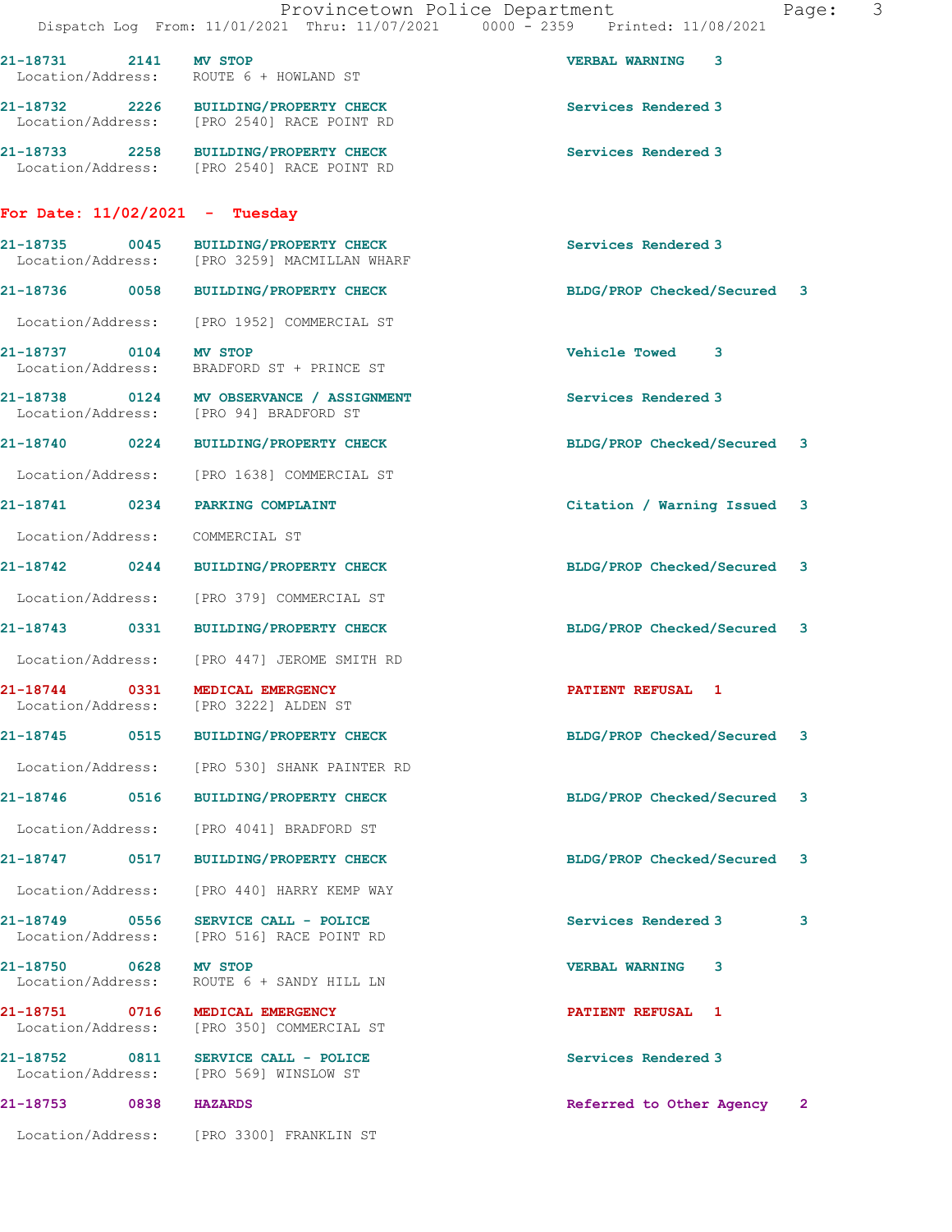|                                            |      | Dispatch Log From: 11/01/2021 Thru: 11/07/2021 0000 - 2359 Printed: 11/08/2021        | Provincetown Police Department<br>Page: | $\mathcal{S}$ |
|--------------------------------------------|------|---------------------------------------------------------------------------------------|-----------------------------------------|---------------|
| 21-18731 2141 MV STOP                      |      | Location/Address: ROUTE 6 + HOWLAND ST                                                | <b>VERBAL WARNING 3</b>                 |               |
|                                            |      | 21-18732 2226 BUILDING/PROPERTY CHECK<br>Location/Address: [PRO 2540] RACE POINT RD   | Services Rendered 3                     |               |
|                                            |      | 21-18733 2258 BUILDING/PROPERTY CHECK<br>Location/Address: [PRO 2540] RACE POINT RD   | Services Rendered 3                     |               |
|                                            |      | For Date: $11/02/2021$ - Tuesday                                                      |                                         |               |
|                                            |      | 21-18735 0045 BUILDING/PROPERTY CHECK<br>Location/Address: [PRO 3259] MACMILLAN WHARF | Services Rendered 3                     |               |
|                                            |      | 21-18736 0058 BUILDING/PROPERTY CHECK                                                 | BLDG/PROP Checked/Secured 3             |               |
|                                            |      | Location/Address: [PRO 1952] COMMERCIAL ST                                            |                                         |               |
| 21-18737 0104 MV STOP<br>Location/Address: |      | BRADFORD ST + PRINCE ST                                                               | Vehicle Towed 3                         |               |
|                                            |      | 21-18738 0124 MV OBSERVANCE / ASSIGNMENT<br>Location/Address: [PRO 94] BRADFORD ST    | Services Rendered 3                     |               |
|                                            |      | 21-18740 0224 BUILDING/PROPERTY CHECK                                                 | BLDG/PROP Checked/Secured 3             |               |
|                                            |      | Location/Address: [PRO 1638] COMMERCIAL ST                                            |                                         |               |
|                                            |      | 21-18741 0234 PARKING COMPLAINT                                                       | Citation / Warning Issued 3             |               |
|                                            |      | Location/Address: COMMERCIAL ST                                                       |                                         |               |
|                                            |      | 21-18742 0244 BUILDING/PROPERTY CHECK                                                 | BLDG/PROP Checked/Secured 3             |               |
|                                            |      | Location/Address: [PRO 379] COMMERCIAL ST                                             |                                         |               |
|                                            |      | 21-18743 0331 BUILDING/PROPERTY CHECK                                                 | BLDG/PROP Checked/Secured 3             |               |
|                                            |      | Location/Address: [PRO 447] JEROME SMITH RD                                           |                                         |               |
| 21-18744<br>Location/Address:              | 0331 | MEDICAL EMERGENCY<br>[PRO 3222] ALDEN ST                                              | <b>PATIENT REFUSAL 1</b>                |               |
|                                            |      |                                                                                       | BLDG/PROP Checked/Secured 3             |               |
|                                            |      | Location/Address: [PRO 530] SHANK PAINTER RD                                          |                                         |               |
| 21-18746 0516                              |      | <b>BUILDING/PROPERTY CHECK</b>                                                        | BLDG/PROP Checked/Secured<br>3          |               |
|                                            |      | Location/Address: [PRO 40411 BRADFORD ST                                              |                                         |               |
|                                            |      | 21-18747 0517 BUILDING/PROPERTY CHECK                                                 | BLDG/PROP Checked/Secured<br>3          |               |
|                                            |      | Location/Address: [PRO 440] HARRY KEMP WAY                                            |                                         |               |
|                                            |      | 21-18749 0556 SERVICE CALL - POLICE<br>Location/Address: [PRO 516] RACE POINT RD      | Services Rendered 3<br>3                |               |
| 21-18750 0628 MV STOP                      |      | Location/Address: ROUTE 6 + SANDY HILL LN                                             | <b>VERBAL WARNING</b><br>3              |               |
| 21-18751 0716                              |      | MEDICAL EMERGENCY<br>Location/Address: [PRO 350] COMMERCIAL ST                        | <b>PATIENT REFUSAL 1</b>                |               |
|                                            |      | 21-18752 0811 SERVICE CALL - POLICE<br>Location/Address: [PRO 569] WINSLOW ST         | Services Rendered 3                     |               |
| 21-18753 0838                              |      | <b>HAZARDS</b>                                                                        | Referred to Other Agency 2              |               |
|                                            |      | Location/Address: [PRO 3300] FRANKLIN ST                                              |                                         |               |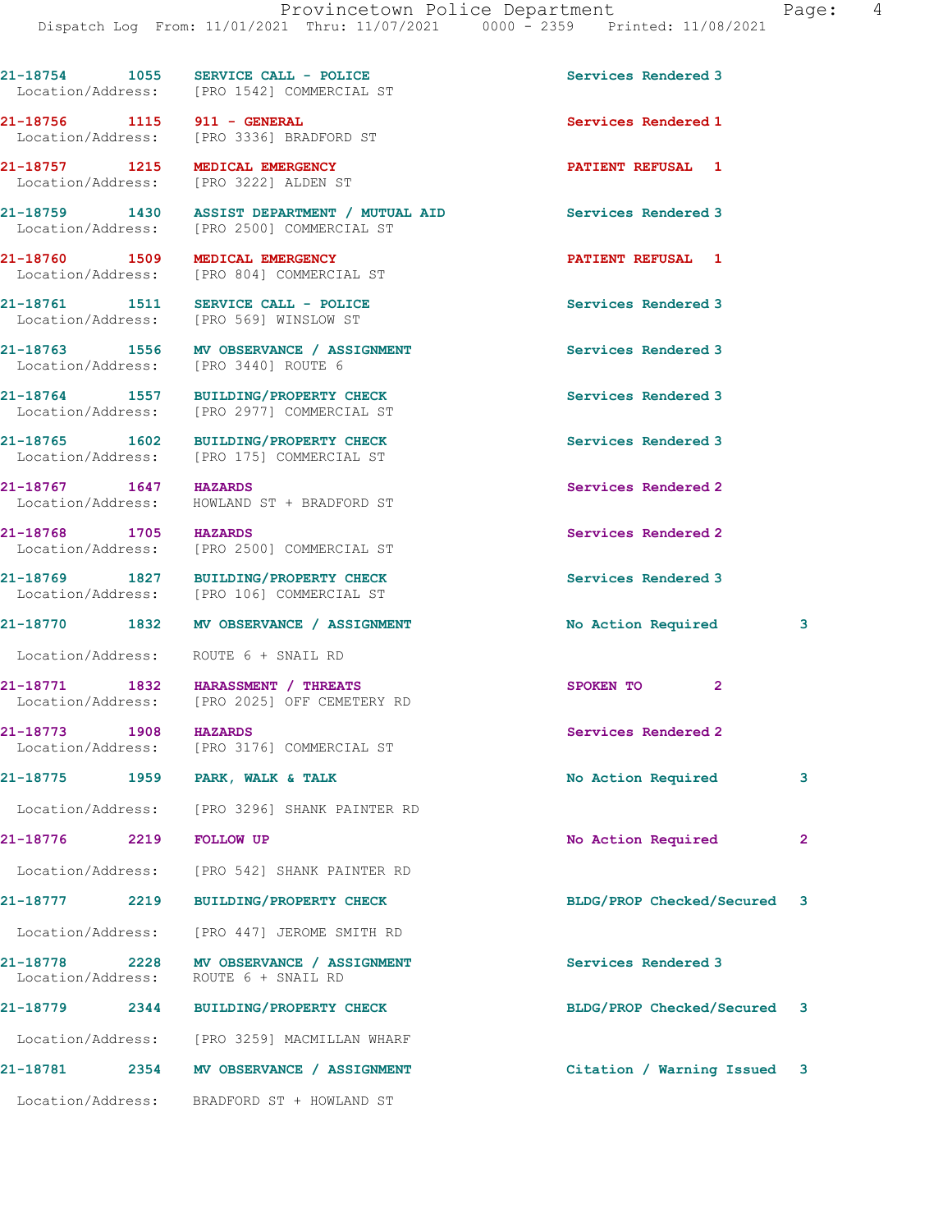|                                            | $21-18754$ 1055 SERVICE CALL - POLICE<br>Location/Address: [PRO 1542] COMMERCIAL ST        | Services Rendered 3               |   |
|--------------------------------------------|--------------------------------------------------------------------------------------------|-----------------------------------|---|
|                                            | 21-18756 1115 911 - GENERAL<br>Location/Address: [PRO 3336] BRADFORD ST                    | Services Rendered 1               |   |
|                                            | 21-18757 1215 MEDICAL EMERGENCY<br>Location/Address: [PRO 3222] ALDEN ST                   | <b>PATIENT REFUSAL 1</b>          |   |
|                                            | 21-18759 1430 ASSIST DEPARTMENT / MUTUAL AID<br>Location/Address: [PRO 2500] COMMERCIAL ST | Services Rendered 3               |   |
| 21-18760 1509 MEDICAL EMERGENCY            | Location/Address: [PRO 804] COMMERCIAL ST                                                  | PATIENT REFUSAL 1                 |   |
|                                            | 21-18761 1511 SERVICE CALL - POLICE<br>Location/Address: [PRO 569] WINSLOW ST              | Services Rendered 3               |   |
|                                            | 21-18763 1556 MV OBSERVANCE / ASSIGNMENT<br>Location/Address: [PRO 3440] ROUTE 6           | Services Rendered 3               |   |
|                                            | 21-18764 1557 BUILDING/PROPERTY CHECK<br>Location/Address: [PRO 2977] COMMERCIAL ST        | Services Rendered 3               |   |
|                                            | 21-18765 1602 BUILDING/PROPERTY CHECK<br>Location/Address: [PRO 175] COMMERCIAL ST         | Services Rendered 3               |   |
| 21-18767 1647 HAZARDS                      | Location/Address: HOWLAND ST + BRADFORD ST                                                 | Services Rendered 2               |   |
| 21-18768 1705 HAZARDS                      | Location/Address: [PRO 2500] COMMERCIAL ST                                                 | Services Rendered 2               |   |
|                                            | 21-18769 1827 BUILDING/PROPERTY CHECK<br>Location/Address: [PRO 106] COMMERCIAL ST         | Services Rendered 3               |   |
|                                            | 21-18770 1832 MV OBSERVANCE / ASSIGNMENT                                                   | No Action Required                | 3 |
|                                            | Location/Address: ROUTE 6 + SNAIL RD                                                       |                                   |   |
|                                            | 21-18771 1832 HARASSMENT / THREATS<br>Location/Address: [PRO 2025] OFF CEMETERY RD         | $\mathbf{2}^{\circ}$<br>SPOKEN TO |   |
| 21-18773 1908 HAZARDS<br>Location/Address: | [PRO 3176] COMMERCIAL ST                                                                   | Services Rendered 2               |   |
| 21-18775                                   | 1959 PARK, WALK & TALK                                                                     | No Action Required                | 3 |
|                                            | Location/Address: [PRO 3296] SHANK PAINTER RD                                              |                                   |   |
| 21-18776<br>2219                           | <b>FOLLOW UP</b>                                                                           | No Action Required                | 2 |
|                                            | Location/Address: [PRO 542] SHANK PAINTER RD                                               |                                   |   |
|                                            | 21-18777 2219 BUILDING/PROPERTY CHECK                                                      | BLDG/PROP Checked/Secured 3       |   |
|                                            | Location/Address: [PRO 447] JEROME SMITH RD                                                |                                   |   |
|                                            | 21-18778 2228 MV OBSERVANCE / ASSIGNMENT<br>Location/Address: ROUTE 6 + SNAIL RD           | Services Rendered 3               |   |
| 21-18779                                   | 2344 BUILDING/PROPERTY CHECK                                                               | BLDG/PROP Checked/Secured 3       |   |
|                                            | Location/Address: [PRO 3259] MACMILLAN WHARF                                               |                                   |   |
|                                            | 21-18781 2354 MV OBSERVANCE / ASSIGNMENT                                                   | Citation / Warning Issued 3       |   |
|                                            | Location/Address: BRADFORD ST + HOWLAND ST                                                 |                                   |   |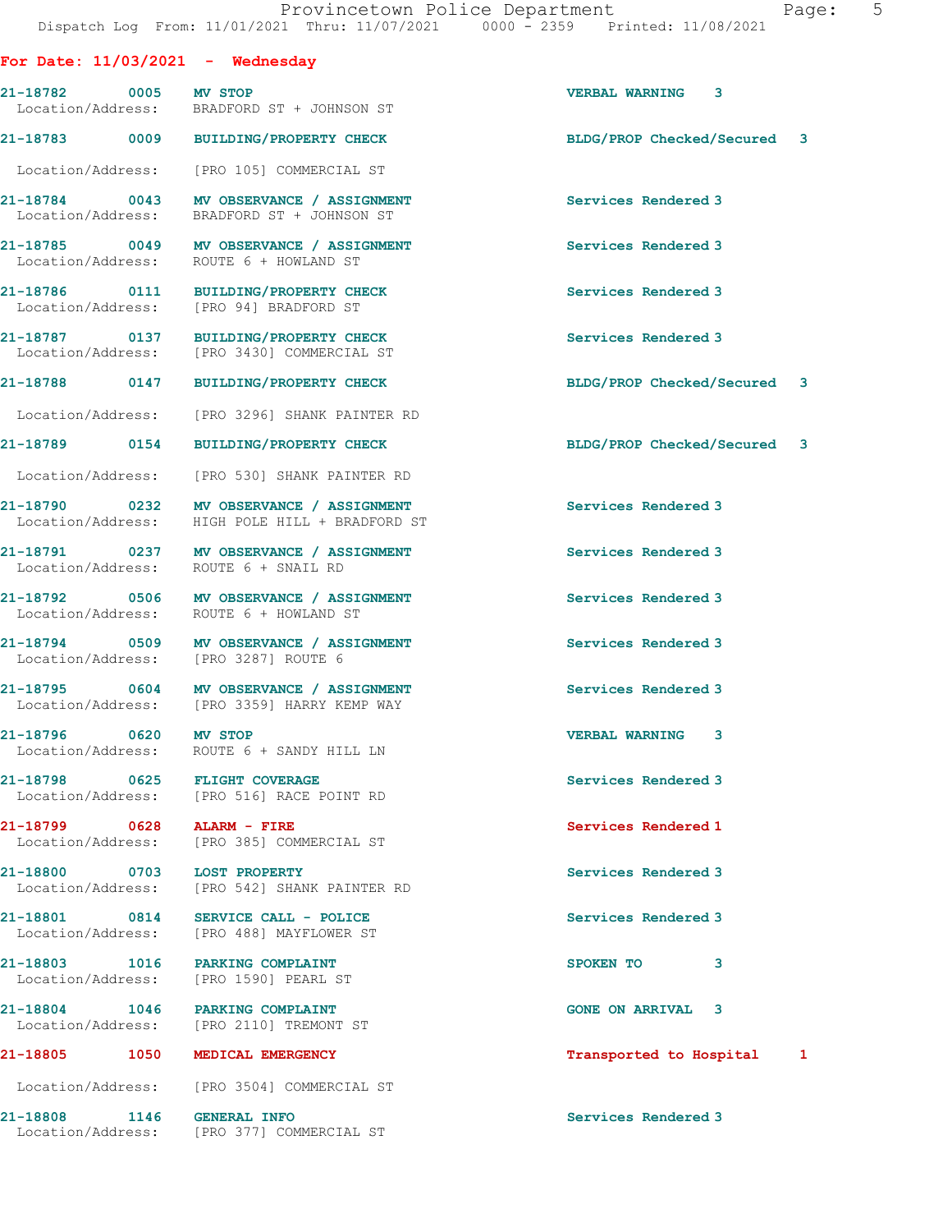## For Date: 11/03/2021 - Wednesday

21-18782 0005 MV STOP VERBAL WARNING 3 Location/Address: BRADFORD ST + JOHNSON ST

21-18783 0009 BUILDING/PROPERTY CHECK BLDG/PROP Checked/Secured 3

Location/Address: [PRO 105] COMMERCIAL ST

Location/Address: ROUTE 6 + HOWLAND ST

Location/Address: [PRO 94] BRADFORD ST

21-18803 1016 PARKING COMPLAINT SPOKEN TO 3

21-18804 1046 PARKING COMPLAINT COME ON ARRIVAL 3

21-18784 0043 MV OBSERVANCE / ASSIGNMENT Services Rendered 3 Location/Address: BRADFORD ST + JOHNSON ST 21-18785 0049 MV OBSERVANCE / ASSIGNMENT Services Rendered 3

21-18786 0111 BUILDING/PROPERTY CHECK Services Rendered 3

21-18787 0137 BUILDING/PROPERTY CHECK Services Rendered 3 Location/Address: [PRO 3430] COMMERCIAL ST

Location/Address: [PRO 3296] SHANK PAINTER RD

Location/Address: [PRO 530] SHANK PAINTER RD

21-18790 0232 MV OBSERVANCE / ASSIGNMENT Services Rendered 3 Location/Address: HIGH POLE HILL + BRADFORD ST

21-18791 0237 MV OBSERVANCE / ASSIGNMENT Services Rendered 3 Location/Address: ROUTE 6 + SNAIL RD

21-18792 0506 MV OBSERVANCE / ASSIGNMENT Services Rendered 3 Location/Address: ROUTE 6 + HOWLAND ST

21-18794 0509 MV OBSERVANCE / ASSIGNMENT Services Rendered 3 Location/Address: [PRO 3287] ROUTE 6

21-18795 0604 MV OBSERVANCE / ASSIGNMENT Services Rendered 3 Location/Address: [PRO 3359] HARRY KEMP WAY

21-18796 0620 MV STOP VERBAL WARNING 3 Location/Address: ROUTE 6 + SANDY HILL LN

21-18798 0625 FLIGHT COVERAGE Services Rendered 3 Location/Address: [PRO 516] RACE POINT RD

21-18799 0628 ALARM - FIRE Services Rendered 1 [PRO 385] COMMERCIAL ST

21-18800 0703 LOST PROPERTY **Services Rendered 3** Location/Address: [PRO 542] SHANK PAINTER RD

21-18801 0814 SERVICE CALL - POLICE 21 Services Rendered 3<br>
Location/Address: [PRO 488] MAYFLOWER ST [PRO 488] MAYFLOWER ST

Location/Address: [PRO 1590] PEARL ST

Location/Address: [PRO 2110] TREMONT ST

Location/Address: [PRO 3504] COMMERCIAL ST

21-18808 1146 GENERAL INFO Services Rendered 3 Location/Address: [PRO 377] COMMERCIAL ST

21-18788 0147 BUILDING/PROPERTY CHECK BLDG/PROP Checked/Secured 3

21-18789 0154 BUILDING/PROPERTY CHECK BLDG/PROP Checked/Secured 3

21-18805 1050 MEDICAL EMERGENCY 1000 1000 Transported to Hospital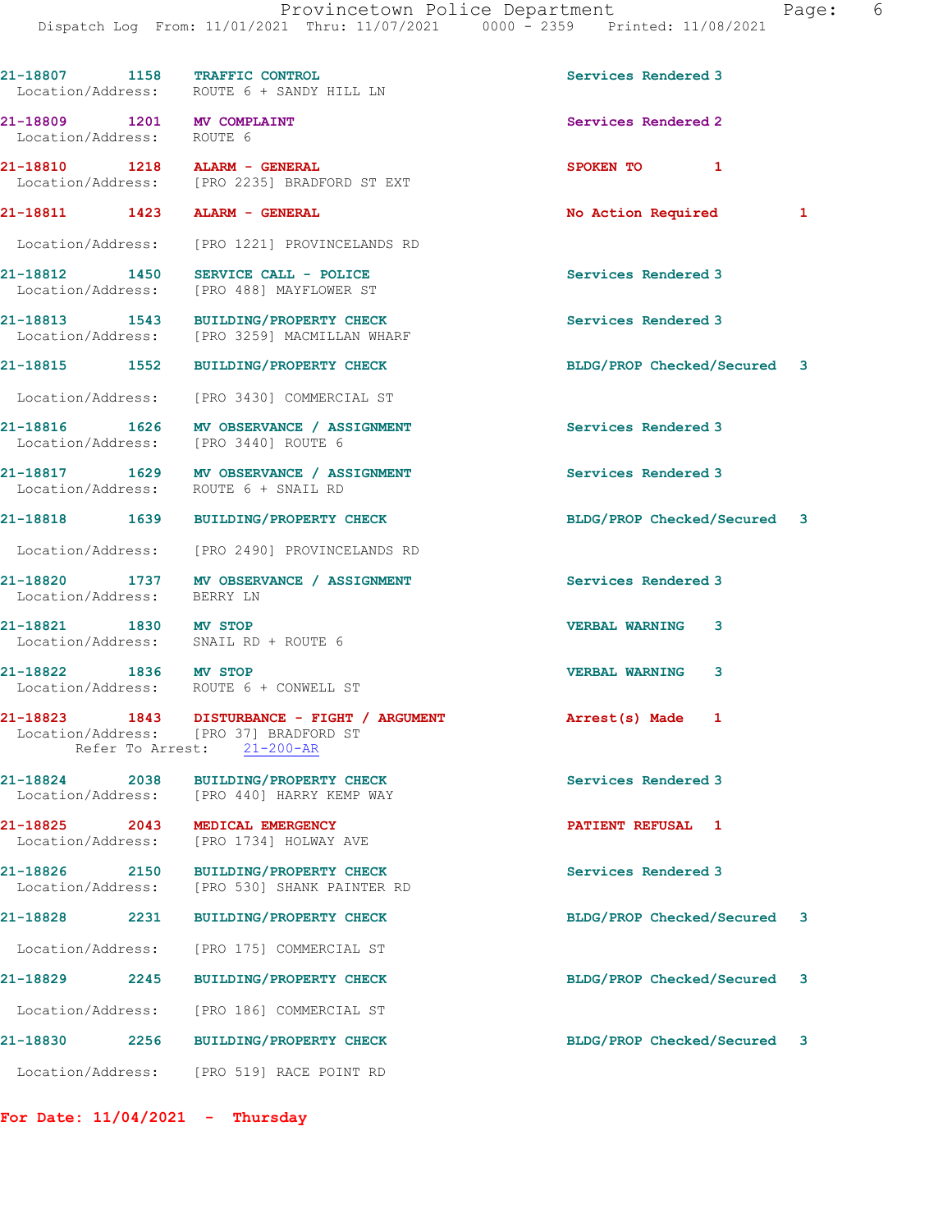|                                                         | 21-18807 1158 TRAFFIC CONTROL<br>Location/Address: ROUTE 6 + SANDY HILL LN             | Services Rendered 3         |  |
|---------------------------------------------------------|----------------------------------------------------------------------------------------|-----------------------------|--|
| 21-18809 1201 MV COMPLAINT<br>Location/Address: ROUTE 6 |                                                                                        | Services Rendered 2         |  |
| 21-18810 1218 ALARM - GENERAL                           | Location/Address: [PRO 2235] BRADFORD ST EXT                                           | SPOKEN TO 1                 |  |
| 21-18811 1423 ALARM - GENERAL                           |                                                                                        | No Action Required 1        |  |
|                                                         | Location/Address: [PRO 1221] PROVINCELANDS RD                                          |                             |  |
|                                                         | 21-18812 1450 SERVICE CALL - POLICE<br>Location/Address: [PRO 488] MAYFLOWER ST        | Services Rendered 3         |  |
|                                                         | 21-18813 1543 BUILDING/PROPERTY CHECK<br>Location/Address: [PRO 3259] MACMILLAN WHARF  | Services Rendered 3         |  |
|                                                         | 21-18815 1552 BUILDING/PROPERTY CHECK                                                  | BLDG/PROP Checked/Secured 3 |  |
|                                                         | Location/Address: [PRO 3430] COMMERCIAL ST                                             |                             |  |
|                                                         | 21-18816 1626 MV OBSERVANCE / ASSIGNMENT<br>Location/Address: [PRO 3440] ROUTE 6       | Services Rendered 3         |  |
|                                                         | 21-18817 1629 MV OBSERVANCE / ASSIGNMENT<br>Location/Address: ROUTE 6 + SNAIL RD       | Services Rendered 3         |  |
|                                                         | 21-18818 1639 BUILDING/PROPERTY CHECK                                                  | BLDG/PROP Checked/Secured 3 |  |
|                                                         | Location/Address: [PRO 2490] PROVINCELANDS RD                                          |                             |  |
| Location/Address: BERRY LN                              | 21-18820 1737 MV OBSERVANCE / ASSIGNMENT                                               | Services Rendered 3         |  |
| 21-18821 1830 MV STOP                                   | Location/Address: SNAIL RD + ROUTE 6                                                   | <b>VERBAL WARNING</b><br>3  |  |
| 21-18822 1836 MV STOP                                   | Location/Address: ROUTE 6 + CONWELL ST                                                 | <b>VERBAL WARNING</b><br>3  |  |
| Refer To Arrest: 21-200-AR                              | 21-18823 1843 DISTURBANCE - FIGHT / ARGUMENT<br>Location/Address: [PRO 37] BRADFORD ST | Arrest(s) Made 1            |  |
| 21-18824 2038<br>Location/Address:                      | <b>BUILDING/PROPERTY CHECK</b><br>[PRO 440] HARRY KEMP WAY                             | Services Rendered 3         |  |
| 21-18825 2043<br>Location/Address:                      | MEDICAL EMERGENCY<br>[PRO 1734] HOLWAY AVE                                             | PATIENT REFUSAL 1           |  |
| 21-18826 2150<br>Location/Address:                      | <b>BUILDING/PROPERTY CHECK</b><br>[PRO 530] SHANK PAINTER RD                           | Services Rendered 3         |  |
| 21-18828 2231                                           | <b>BUILDING/PROPERTY CHECK</b>                                                         | BLDG/PROP Checked/Secured 3 |  |
| Location/Address:                                       | [PRO 175] COMMERCIAL ST                                                                |                             |  |
| 21-18829 2245                                           | <b>BUILDING/PROPERTY CHECK</b>                                                         | BLDG/PROP Checked/Secured 3 |  |
|                                                         | Location/Address: [PRO 186] COMMERCIAL ST                                              |                             |  |
|                                                         | 21-18830 2256 BUILDING/PROPERTY CHECK                                                  | BLDG/PROP Checked/Secured 3 |  |
|                                                         | Location/Address: [PRO 519] RACE POINT RD                                              |                             |  |

For Date:  $11/04/2021$  - Thursday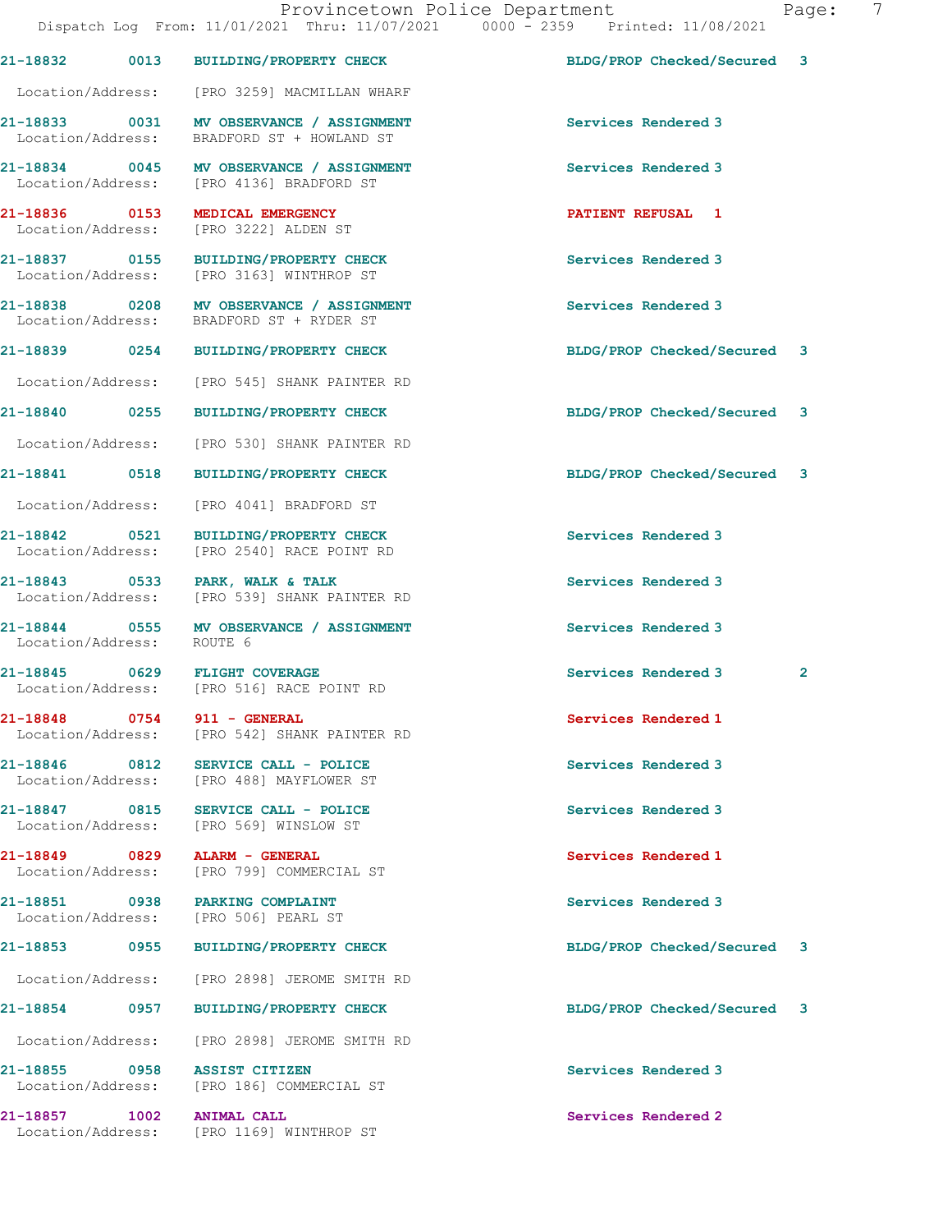|                                            |                   | Provincetown Police Department                                                       |                             | 7<br>Page:     |
|--------------------------------------------|-------------------|--------------------------------------------------------------------------------------|-----------------------------|----------------|
|                                            |                   | Dispatch Log From: 11/01/2021 Thru: 11/07/2021 0000 - 2359 Printed: 11/08/2021       |                             |                |
| 21-18832                                   |                   | 0013 BUILDING/PROPERTY CHECK                                                         | BLDG/PROP Checked/Secured 3 |                |
| Location/Address:                          |                   | [PRO 3259] MACMILLAN WHARF                                                           |                             |                |
| Location/Address:                          |                   | 21-18833 0031 MV OBSERVANCE / ASSIGNMENT<br>BRADFORD ST + HOWLAND ST                 | Services Rendered 3         |                |
|                                            |                   | 21-18834 0045 MV OBSERVANCE / ASSIGNMENT<br>Location/Address: [PRO 4136] BRADFORD ST | Services Rendered 3         |                |
| 21-18836 0153<br>Location/Address:         |                   | MEDICAL EMERGENCY<br>[PRO 3222] ALDEN ST                                             | <b>PATIENT REFUSAL 1</b>    |                |
|                                            |                   | 21-18837 0155 BUILDING/PROPERTY CHECK<br>Location/Address: [PRO 3163] WINTHROP ST    | Services Rendered 3         |                |
| 21-18838 0208<br>Location/Address:         |                   | MV OBSERVANCE / ASSIGNMENT<br>BRADFORD ST + RYDER ST                                 | Services Rendered 3         |                |
|                                            |                   | 21-18839 0254 BUILDING/PROPERTY CHECK                                                | BLDG/PROP Checked/Secured 3 |                |
| Location/Address:                          |                   | [PRO 545] SHANK PAINTER RD                                                           |                             |                |
| 21-18840 0255                              |                   | <b>BUILDING/PROPERTY CHECK</b>                                                       | BLDG/PROP Checked/Secured 3 |                |
| Location/Address:                          |                   | [PRO 530] SHANK PAINTER RD                                                           |                             |                |
| 21-18841 0518                              |                   | <b>BUILDING/PROPERTY CHECK</b>                                                       | BLDG/PROP Checked/Secured 3 |                |
| Location/Address:                          |                   | [PRO 4041] BRADFORD ST                                                               |                             |                |
| 21-18842 0521<br>Location/Address:         |                   | BUILDING/PROPERTY CHECK<br>[PRO 2540] RACE POINT RD                                  | Services Rendered 3         |                |
| 21-18843 0533<br>Location/Address:         |                   | PARK, WALK & TALK<br>[PRO 539] SHANK PAINTER RD                                      | Services Rendered 3         |                |
| 21-18844 0555<br>Location/Address: ROUTE 6 |                   | MV OBSERVANCE / ASSIGNMENT                                                           | Services Rendered 3         |                |
| 21-18845<br>Location/Address:              | 0629              | <b>FLIGHT COVERAGE</b><br>[PRO 516] RACE POINT RD                                    | Services Rendered 3         | $\overline{2}$ |
| 21-18848<br>Location/Address:              | $\overline{0754}$ | 911 - GENERAL<br>[PRO 542] SHANK PAINTER RD                                          | Services Rendered 1         |                |
| 21-18846 0812<br>Location/Address:         |                   | SERVICE CALL - POLICE<br>[PRO 488] MAYFLOWER ST                                      | Services Rendered 3         |                |

21-18847 0815 SERVICE CALL - POLICE Services Rendered 3 Location/Address: [PRO 569] WINSLOW ST

21-18851 0938 PARKING COMPLAINT Services Rendered 3

21-18849 0829 ALARM - GENERAL Services Rendered 1 Location/Address: [PRO 799] COMMERCIAL ST

Location/Address: [PRO 506] PEARL ST

Location/Address: [PRO 2898] JEROME SMITH RD

Location/Address: [PRO 2898] JEROME SMITH RD

21-18855 0958 ASSIST CITIZEN Services Rendered 3 Location/Address: [PRO 186] COMMERCIAL ST

21-18857 1002 ANIMAL CALL Services Rendered 2 Location/Address: [PRO 1169] WINTHROP ST

21-18853 0955 BUILDING/PROPERTY CHECK BLDG/PROP Checked/Secured 3

21-18854 0957 BUILDING/PROPERTY CHECK BLDG/PROP Checked/Secured 3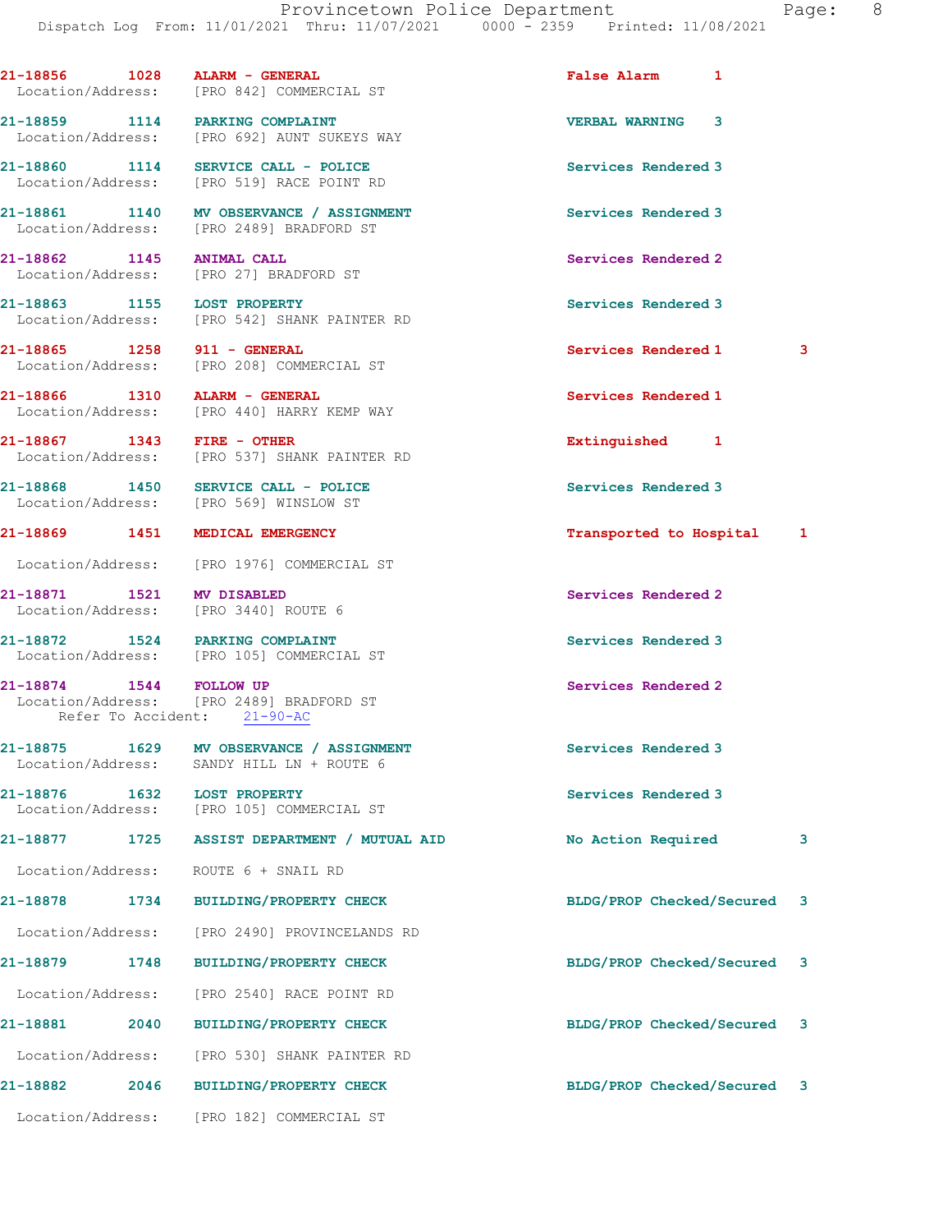|                               |      | 21-18856 1028 ALARM - GENERAL<br>Location/Address: [PRO 842] COMMERCIAL ST           | <b>False Alarm</b>          | $\mathbf{1}$ |              |
|-------------------------------|------|--------------------------------------------------------------------------------------|-----------------------------|--------------|--------------|
|                               |      | 21-18859 1114 PARKING COMPLAINT<br>Location/Address: [PRO 692] AUNT SUKEYS WAY       | <b>VERBAL WARNING</b>       | 3            |              |
|                               |      | 21-18860 1114 SERVICE CALL - POLICE<br>Location/Address: [PRO 519] RACE POINT RD     | Services Rendered 3         |              |              |
|                               |      | 21-18861 1140 MV OBSERVANCE / ASSIGNMENT<br>Location/Address: [PRO 2489] BRADFORD ST | Services Rendered 3         |              |              |
| 21-18862 1145 ANIMAL CALL     |      | Location/Address: [PRO 27] BRADFORD ST                                               | Services Rendered 2         |              |              |
|                               |      | 21-18863 1155 LOST PROPERTY<br>Location/Address: [PRO 542] SHANK PAINTER RD          | Services Rendered 3         |              |              |
| 21-18865 1258 911 - GENERAL   |      | Location/Address: [PRO 208] COMMERCIAL ST                                            | Services Rendered 1         |              | 3            |
|                               |      | 21-18866 1310 ALARM - GENERAL<br>Location/Address: [PRO 440] HARRY KEMP WAY          | Services Rendered 1         |              |              |
| 21-18867 1343 FIRE - OTHER    |      | Location/Address: [PRO 537] SHANK PAINTER RD                                         | Extinguished 1              |              |              |
|                               |      | 21-18868 1450 SERVICE CALL - POLICE<br>Location/Address: [PRO 569] WINSLOW ST        | Services Rendered 3         |              |              |
|                               |      | 21-18869 1451 MEDICAL EMERGENCY                                                      | Transported to Hospital 1   |              |              |
|                               |      | Location/Address: [PRO 1976] COMMERCIAL ST                                           |                             |              |              |
| 21-18871 1521 MV DISABLED     |      | Location/Address: [PRO 3440] ROUTE 6                                                 | Services Rendered 2         |              |              |
|                               |      | 21-18872 1524 PARKING COMPLAINT<br>Location/Address: [PRO 105] COMMERCIAL ST         | Services Rendered 3         |              |              |
| 21-18874 1544 FOLLOW UP       |      | Location/Address: [PRO 2489] BRADFORD ST<br>Refer To Accident: 21-90-AC              | Services Rendered 2         |              |              |
| Location/Address:             |      | 21-18875 1629 MV OBSERVANCE / ASSIGNMENT<br>SANDY HILL LN + ROUTE 6                  | Services Rendered 3         |              |              |
| 21-18876<br>Location/Address: | 1632 | <b>LOST PROPERTY</b><br>[PRO 105] COMMERCIAL ST                                      | Services Rendered 3         |              |              |
| 21-18877                      | 1725 | ASSIST DEPARTMENT / MUTUAL AID                                                       | No Action Required          |              | 3            |
| Location/Address:             |      | ROUTE 6 + SNAIL RD                                                                   |                             |              |              |
| 21-18878                      | 1734 | <b>BUILDING/PROPERTY CHECK</b>                                                       | BLDG/PROP Checked/Secured   |              | $\mathbf{3}$ |
| Location/Address:             |      | [PRO 2490] PROVINCELANDS RD                                                          |                             |              |              |
| 21-18879                      | 1748 | <b>BUILDING/PROPERTY CHECK</b>                                                       | BLDG/PROP Checked/Secured   |              | 3            |
| Location/Address:             |      | [PRO 2540] RACE POINT RD                                                             |                             |              |              |
| 21-18881                      | 2040 | <b>BUILDING/PROPERTY CHECK</b>                                                       | BLDG/PROP Checked/Secured   |              | 3            |
| Location/Address:             |      | [PRO 530] SHANK PAINTER RD                                                           |                             |              |              |
| 21-18882                      | 2046 | <b>BUILDING/PROPERTY CHECK</b>                                                       | BLDG/PROP Checked/Secured 3 |              |              |
| Location/Address:             |      | [PRO 182] COMMERCIAL ST                                                              |                             |              |              |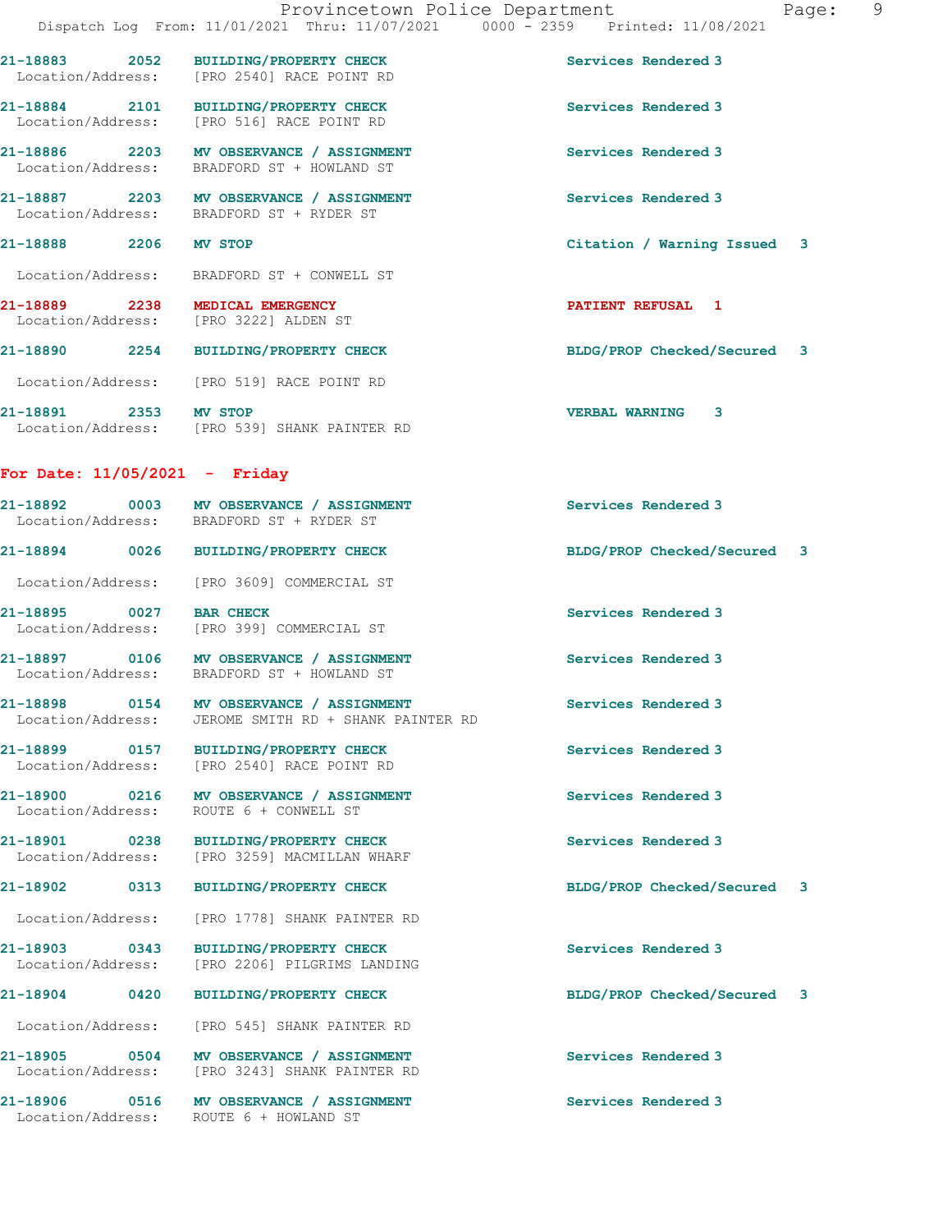|                                                                          | Provincetown Police Department<br>Dispatch Log From: 11/01/2021 Thru: 11/07/2021 0000 - 2359 Printed: 11/08/2021 |                             | Page: | $\overline{9}$ |
|--------------------------------------------------------------------------|------------------------------------------------------------------------------------------------------------------|-----------------------------|-------|----------------|
|                                                                          | 21-18883 2052 BUILDING/PROPERTY CHECK<br>Location/Address: [PRO 2540] RACE POINT RD                              | Services Rendered 3         |       |                |
|                                                                          | 21-18884 2101 BUILDING/PROPERTY CHECK<br>Location/Address: [PRO 516] RACE POINT RD                               | Services Rendered 3         |       |                |
|                                                                          | 21-18886 2203 MV OBSERVANCE / ASSIGNMENT<br>Location/Address: BRADFORD ST + HOWLAND ST                           | Services Rendered 3         |       |                |
|                                                                          | 21-18887 2203 MV OBSERVANCE / ASSIGNMENT<br>Location/Address: BRADFORD ST + RYDER ST                             | Services Rendered 3         |       |                |
| 21-18888 2206 MV STOP                                                    |                                                                                                                  | Citation / Warning Issued 3 |       |                |
|                                                                          | Location/Address: BRADFORD ST + CONWELL ST                                                                       |                             |       |                |
| 21-18889 2238 MEDICAL EMERGENCY<br>Location/Address: [PRO 3222] ALDEN ST |                                                                                                                  | <b>PATIENT REFUSAL 1</b>    |       |                |
|                                                                          | 21-18890 2254 BUILDING/PROPERTY CHECK                                                                            | BLDG/PROP Checked/Secured 3 |       |                |
|                                                                          | Location/Address: [PRO 519] RACE POINT RD                                                                        |                             |       |                |
| 21-18891 2353 MV STOP                                                    | Location/Address: [PRO 539] SHANK PAINTER RD                                                                     | <b>VERBAL WARNING 3</b>     |       |                |
| For Date: $11/05/2021$ - Friday                                          |                                                                                                                  |                             |       |                |
|                                                                          | 21-18892 0003 MV OBSERVANCE / ASSIGNMENT<br>Location/Address: BRADFORD ST + RYDER ST                             | Services Rendered 3         |       |                |
|                                                                          | 21-18894 0026 BUILDING/PROPERTY CHECK                                                                            | BLDG/PROP Checked/Secured 3 |       |                |
|                                                                          | Location/Address: [PRO 3609] COMMERCIAL ST                                                                       |                             |       |                |
| 21-18895 0027 BAR CHECK                                                  | Location/Address: [PRO 399] COMMERCIAL ST                                                                        | Services Rendered 3         |       |                |
|                                                                          | 21-18897 0106 MV OBSERVANCE / ASSIGNMENT<br>Location/Address: BRADFORD ST + HOWLAND ST                           | Services Rendered 3         |       |                |
| 21-18898 0154<br>Location/Address:                                       | MV OBSERVANCE / ASSIGNMENT<br>JEROME SMITH RD + SHANK PAINTER RD                                                 | Services Rendered 3         |       |                |
|                                                                          | 21-18899 0157 BUILDING/PROPERTY CHECK<br>Location/Address: [PRO 2540] RACE POINT RD                              | Services Rendered 3         |       |                |
| Location/Address:                                                        | 21-18900 0216 MV OBSERVANCE / ASSIGNMENT<br>ROUTE 6 + CONWELL ST                                                 | Services Rendered 3         |       |                |
| 21-18901 0238<br>Location/Address:                                       | <b>BUILDING/PROPERTY CHECK</b><br>[PRO 3259] MACMILLAN WHARF                                                     | Services Rendered 3         |       |                |
| 21-18902<br>0313                                                         | <b>BUILDING/PROPERTY CHECK</b>                                                                                   | BLDG/PROP Checked/Secured 3 |       |                |
| Location/Address:                                                        | [PRO 1778] SHANK PAINTER RD                                                                                      |                             |       |                |
| 21-18903 0343<br>Location/Address:                                       | <b>BUILDING/PROPERTY CHECK</b><br>[PRO 2206] PILGRIMS LANDING                                                    | Services Rendered 3         |       |                |
| 21-18904 0420                                                            | <b>BUILDING/PROPERTY CHECK</b>                                                                                   | BLDG/PROP Checked/Secured 3 |       |                |
| Location/Address:                                                        | [PRO 545] SHANK PAINTER RD                                                                                       |                             |       |                |
|                                                                          | 21-18905 0504 MV OBSERVANCE / ASSIGNMENT<br>Location/Address: [PRO 3243] SHANK PAINTER RD                        | Services Rendered 3         |       |                |
| Location/Address:                                                        | 21-18906 0516 MV OBSERVANCE / ASSIGNMENT<br>ROUTE 6 + HOWLAND ST                                                 | Services Rendered 3         |       |                |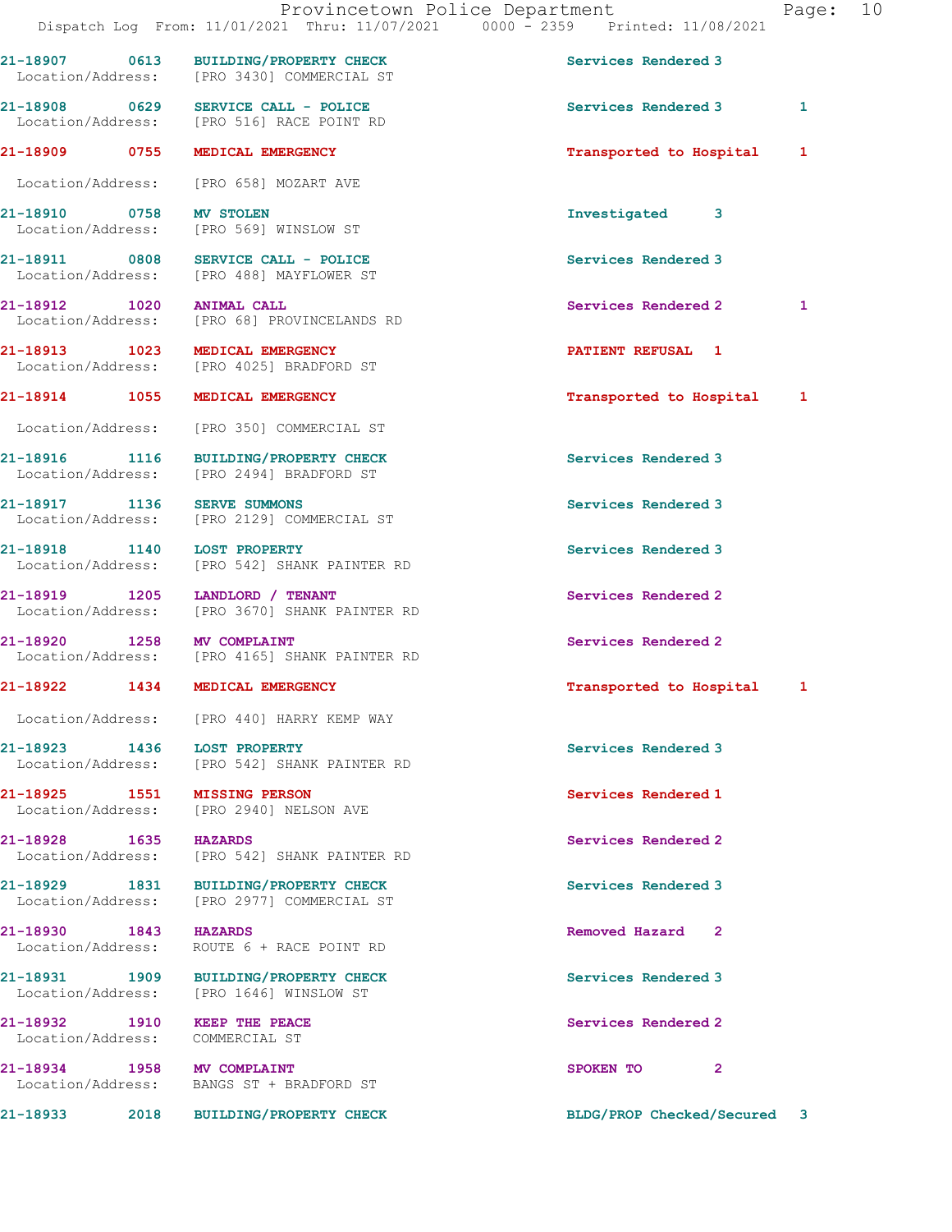|                                                                 | 21-18907 0613 BUILDING/PROPERTY CHECK<br>Location/Address: [PRO 3430] COMMERCIAL ST | Services Rendered 3       |              |
|-----------------------------------------------------------------|-------------------------------------------------------------------------------------|---------------------------|--------------|
|                                                                 | 21-18908 0629 SERVICE CALL - POLICE<br>Location/Address: [PRO 516] RACE POINT RD    | Services Rendered 3       | 1            |
| 21-18909 0755 MEDICAL EMERGENCY                                 |                                                                                     | Transported to Hospital   | 1            |
|                                                                 | Location/Address: [PRO 658] MOZART AVE                                              |                           |              |
| <b>21-18910 0758 MV STOLEN</b>                                  | Location/Address: [PRO 569] WINSLOW ST                                              | Investigated 3            |              |
|                                                                 | 21-18911 0808 SERVICE CALL - POLICE<br>Location/Address: [PRO 488] MAYFLOWER ST     | Services Rendered 3       |              |
| 21-18912 1020 ANIMAL CALL                                       | Location/Address: [PRO 68] PROVINCELANDS RD                                         | Services Rendered 2       | 1            |
| 21-18913 1023 MEDICAL EMERGENCY                                 | Location/Address: [PRO 4025] BRADFORD ST                                            | <b>PATIENT REFUSAL 1</b>  |              |
| 21-18914 1055 MEDICAL EMERGENCY                                 |                                                                                     | Transported to Hospital 1 |              |
|                                                                 | Location/Address: [PRO 350] COMMERCIAL ST                                           |                           |              |
|                                                                 | 21-18916 1116 BUILDING/PROPERTY CHECK<br>Location/Address: [PRO 2494] BRADFORD ST   | Services Rendered 3       |              |
| 21-18917 1136                                                   | <b>SERVE SUMMONS</b><br>Location/Address: [PRO 2129] COMMERCIAL ST                  | Services Rendered 3       |              |
|                                                                 | Location/Address: [PRO 542] SHANK PAINTER RD                                        | Services Rendered 3       |              |
| 21-18919 1205 LANDLORD / TENANT                                 | Location/Address: [PRO 3670] SHANK PAINTER RD                                       | Services Rendered 2       |              |
| 21-18920 1258 MV COMPLAINT                                      | Location/Address: [PRO 4165] SHANK PAINTER RD                                       | Services Rendered 2       |              |
| 21-18922 1434 MEDICAL EMERGENCY                                 |                                                                                     | Transported to Hospital   | $\mathbf{1}$ |
|                                                                 | Location/Address: [PRO 440] HARRY KEMP WAY                                          |                           |              |
| 21-18923 1436 LOST PROPERTY                                     | Location/Address: [PRO 542] SHANK PAINTER RD                                        | Services Rendered 3       |              |
| 21-18925 1551 MISSING PERSON                                    | Location/Address: [PRO 2940] NELSON AVE                                             | Services Rendered 1       |              |
| 21-18928 1635 HAZARDS                                           | Location/Address: [PRO 542] SHANK PAINTER RD                                        | Services Rendered 2       |              |
|                                                                 | 21-18929 1831 BUILDING/PROPERTY CHECK<br>Location/Address: [PRO 2977] COMMERCIAL ST | Services Rendered 3       |              |
| 21-18930 1843 HAZARDS                                           | Location/Address: ROUTE 6 + RACE POINT RD                                           | Removed Hazard 2          |              |
|                                                                 | 21-18931 1909 BUILDING/PROPERTY CHECK<br>Location/Address: [PRO 1646] WINSLOW ST    | Services Rendered 3       |              |
| 21-18932 1910 KEEP THE PEACE<br>Location/Address: COMMERCIAL ST |                                                                                     | Services Rendered 2       |              |
| 21-18934 1958 MV COMPLAINT                                      | Location/Address: BANGS ST + BRADFORD ST                                            | $\mathbf{2}$<br>SPOKEN TO |              |

21-18933 2018 BUILDING/PROPERTY CHECK BLDG/PROP Checked/Secured 3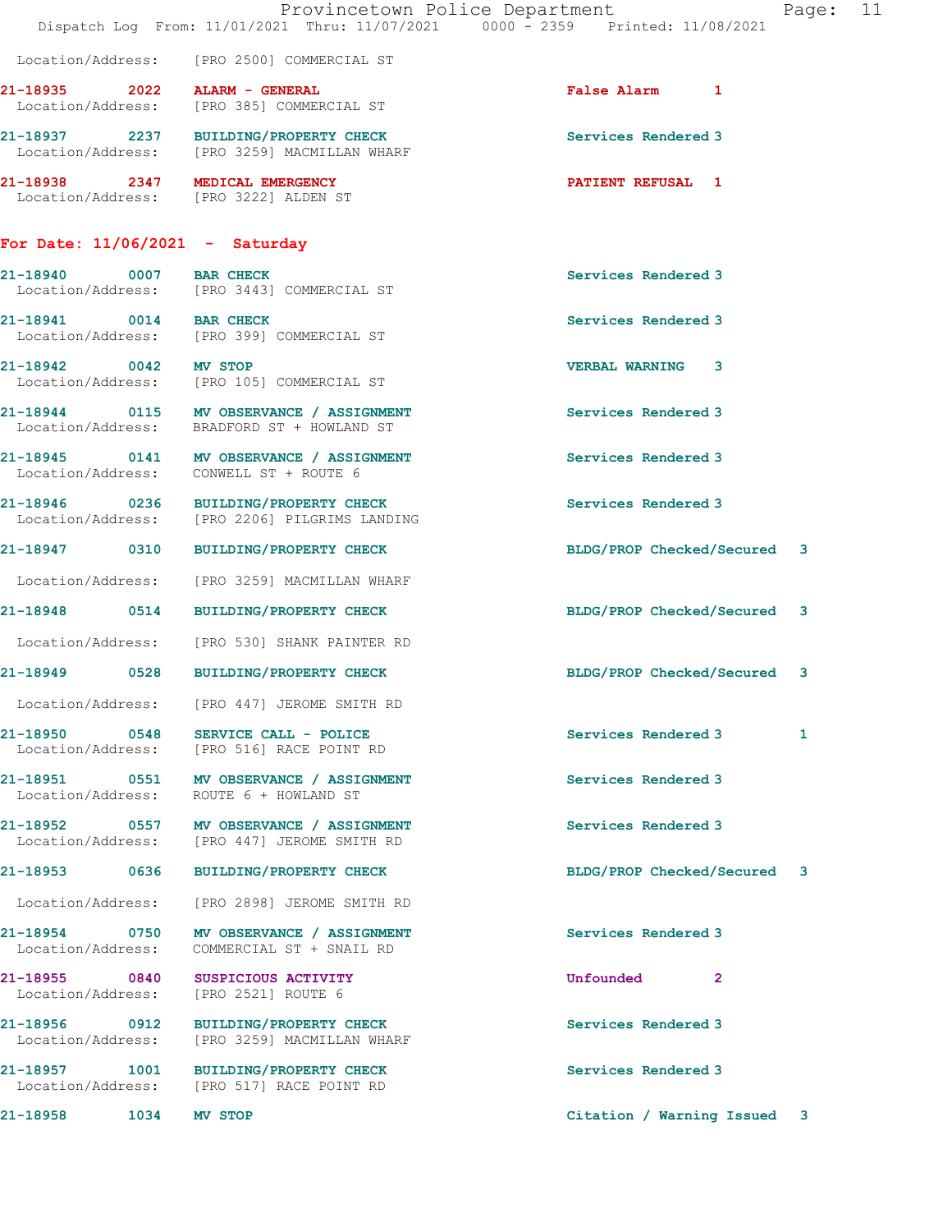|                                    | Dispatch Log From: 11/01/2021 Thru: 11/07/2021 0000 - 2359 Printed: 11/08/2021          | Provincetown Police Department<br>Page: 11 |  |
|------------------------------------|-----------------------------------------------------------------------------------------|--------------------------------------------|--|
|                                    | Location/Address: [PRO 2500] COMMERCIAL ST                                              |                                            |  |
| 21-18935 2022 ALARM - GENERAL      | Location/Address: [PRO 385] COMMERCIAL ST                                               | <b>False Alarm 1</b>                       |  |
|                                    | 21-18937 2237 BUILDING/PROPERTY CHECK<br>Location/Address: [PRO 3259] MACMILLAN WHARF   | Services Rendered 3                        |  |
|                                    | 21-18938 2347 MEDICAL EMERGENCY<br>Location/Address: [PRO 3222] ALDEN ST                | <b>PATIENT REFUSAL 1</b>                   |  |
| For Date: 11/06/2021 - Saturday    |                                                                                         |                                            |  |
| 21-18940 0007 BAR CHECK            | Location/Address: [PRO 3443] COMMERCIAL ST                                              | Services Rendered 3                        |  |
| 21-18941 0014 BAR CHECK            | Location/Address: [PRO 399] COMMERCIAL ST                                               | Services Rendered 3                        |  |
| 21-18942 0042 MV STOP              | Location/Address: [PRO 105] COMMERCIAL ST                                               | <b>VERBAL WARNING 3</b>                    |  |
|                                    | 21-18944 0115 MV OBSERVANCE / ASSIGNMENT<br>Location/Address: BRADFORD ST + HOWLAND ST  | Services Rendered 3                        |  |
|                                    | 21-18945 0141 MV OBSERVANCE / ASSIGNMENT<br>Location/Address: CONWELL ST + ROUTE 6      | Services Rendered 3                        |  |
|                                    | 21-18946 0236 BUILDING/PROPERTY CHECK<br>Location/Address: [PRO 2206] PILGRIMS LANDING  | Services Rendered 3                        |  |
|                                    | 21-18947 0310 BUILDING/PROPERTY CHECK                                                   | BLDG/PROP Checked/Secured 3                |  |
|                                    | Location/Address: [PRO 3259] MACMILLAN WHARF                                            |                                            |  |
|                                    | 21-18948 0514 BUILDING/PROPERTY CHECK                                                   | BLDG/PROP Checked/Secured 3                |  |
|                                    | Location/Address: [PRO 530] SHANK PAINTER RD                                            |                                            |  |
|                                    | 21-18949 0528 BUILDING/PROPERTY CHECK                                                   | BLDG/PROP Checked/Secured 3                |  |
|                                    | Location/Address: [PRO 447] JEROME SMITH RD                                             |                                            |  |
| 21-18950 0548                      | SERVICE CALL - POLICE<br>Location/Address: [PRO 516] RACE POINT RD                      | Services Rendered 3<br>1                   |  |
|                                    | 21-18951 0551 MV OBSERVANCE / ASSIGNMENT<br>Location/Address: ROUTE 6 + HOWLAND ST      | Services Rendered 3                        |  |
|                                    | 21-18952 0557 MV OBSERVANCE / ASSIGNMENT<br>Location/Address: [PRO 447] JEROME SMITH RD | Services Rendered 3                        |  |
| 21-18953 0636                      | BUILDING/PROPERTY CHECK                                                                 | BLDG/PROP Checked/Secured 3                |  |
|                                    | Location/Address: [PRO 2898] JEROME SMITH RD                                            |                                            |  |
| Location/Address:                  | 21-18954 0750 MV OBSERVANCE / ASSIGNMENT<br>COMMERCIAL ST + SNAIL RD                    | Services Rendered 3                        |  |
| 21-18955 0840                      | SUSPICIOUS ACTIVITY<br>Location/Address: [PRO 2521] ROUTE 6                             | Unfounded 2                                |  |
| 21-18956 0912<br>Location/Address: | BUILDING/PROPERTY CHECK<br>[PRO 3259] MACMILLAN WHARF                                   | Services Rendered 3                        |  |
|                                    | 21-18957 1001 BUILDING/PROPERTY CHECK<br>Location/Address: [PRO 517] RACE POINT RD      | Services Rendered 3                        |  |
| 21-18958<br>$\frac{1034}{2000}$    | <b>MV STOP</b>                                                                          | Citation / Warning Issued 3                |  |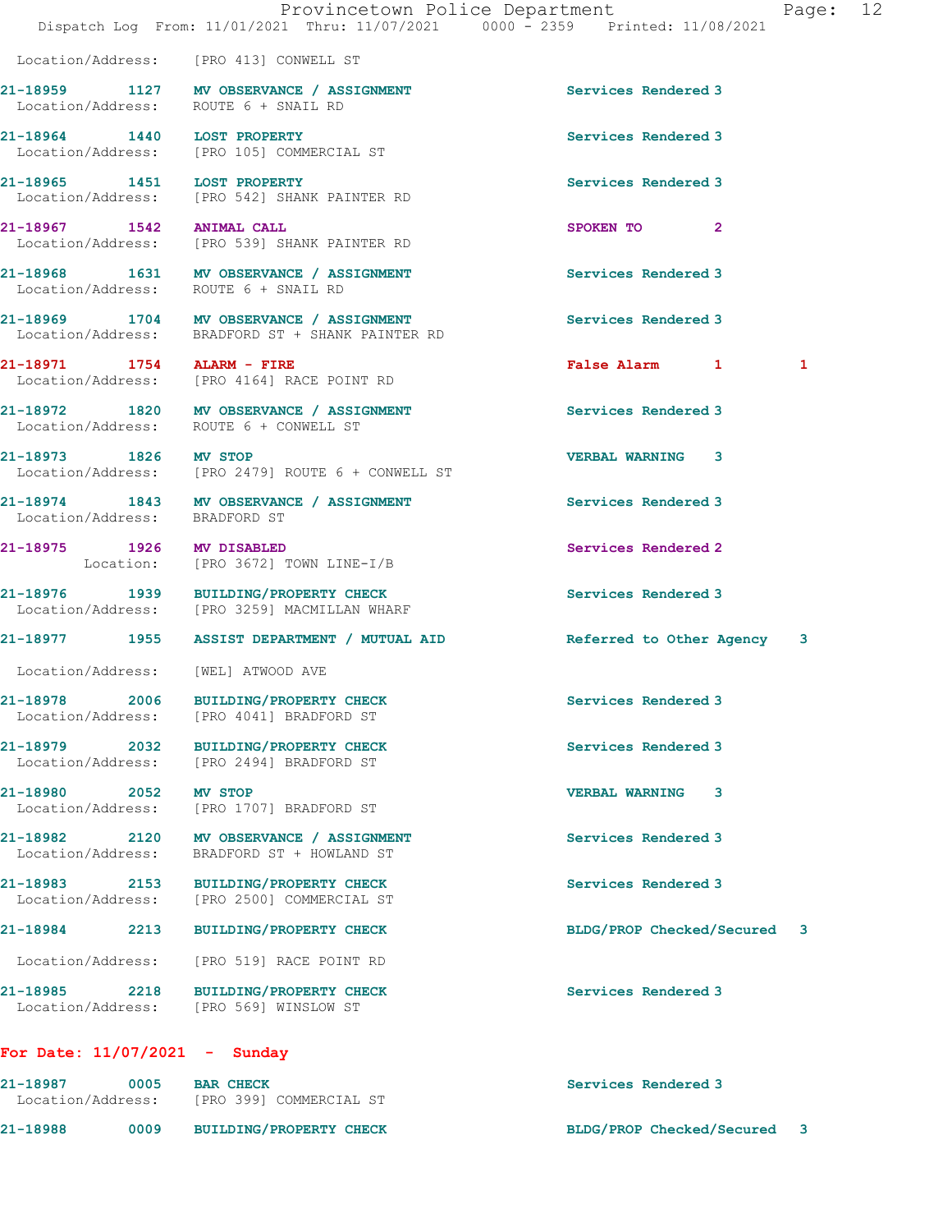Location/Address: [PRO 413] CONWELL ST 21-18959 1127 MV OBSERVANCE / ASSIGNMENT Services Rendered 3 Location/Address: ROUTE 6 + SNAIL RD 21-18964 1440 LOST PROPERTY Services Rendered 3 Location/Address: [PRO 105] COMMERCIAL ST 21-18965 1451 LOST PROPERTY Services Rendered 3 Location/Address: [PRO 542] SHANK PAINTER RD 21-18967 1542 ANIMAL CALL SPOKEN TO 2 Location/Address: [PRO 539] SHANK PAINTER RD 21-18968 1631 MV OBSERVANCE / ASSIGNMENT Services Rendered 3 Location/Address: ROUTE 6 + SNAIL RD 21-18969 1704 MV OBSERVANCE / ASSIGNMENT Services Rendered 3 Location/Address: BRADFORD ST + SHANK PAINTER RD 21-18971 1754 ALARM - FIRE False Alarm 1 1 Location/Address: [PRO 4164] RACE POINT RD 21-18972 1820 MV OBSERVANCE / ASSIGNMENT Services Rendered 3 Location/Address: ROUTE 6 + CONWELL ST 21-18973 1826 MV STOP VERBAL WARNING 3 Location/Address: [PRO 2479] ROUTE 6 + CONWELL ST 21-18974 1843 MV OBSERVANCE / ASSIGNMENT Services Rendered 3 Location/Address: BRADFORD ST 21-18975 1926 MV DISABLED 2008 Services Rendered 2 Location: [PRO 3672] TOWN LINE-I/B 21-18976 1939 BUILDING/PROPERTY CHECK Services Rendered 3 Location/Address: [PRO 3259] MACMILLAN WHARF 21-18977 1955 ASSIST DEPARTMENT / MUTUAL AID Referred to Other Agency 3 Location/Address: [WEL] ATWOOD AVE 21-18978 2006 BUILDING/PROPERTY CHECK Services Rendered 3 Location/Address: [PRO 4041] BRADFORD ST 21-18979 2032 BUILDING/PROPERTY CHECK Services Rendered 3 Location/Address: [PRO 2494] BRADFORD ST 21-18980 2052 MV STOP VERBAL WARNING 3 Location/Address: [PRO 1707] BRADFORD ST 21-18982 2120 MV OBSERVANCE / ASSIGNMENT Services Rendered 3 Location/Address: BRADFORD ST + HOWLAND ST 21-18983 2153 BUILDING/PROPERTY CHECK Services Rendered 3 Location/Address: [PRO 2500] COMMERCIAL ST 21-18984 2213 BUILDING/PROPERTY CHECK BLDG/PROP Checked/Secured 3 Location/Address: [PRO 519] RACE POINT RD 21-18985 2218 BUILDING/PROPERTY CHECK Services Rendered 3 Location/Address: [PRO 569] WINSLOW ST For Date: 11/07/2021 - Sunday

21-18987 0005 BAR CHECK Services Rendered 3 Location/Address: [PRO 399] COMMERCIAL ST 21-18988 0009 BUILDING/PROPERTY CHECK BLDG/PROP Checked/Secured 3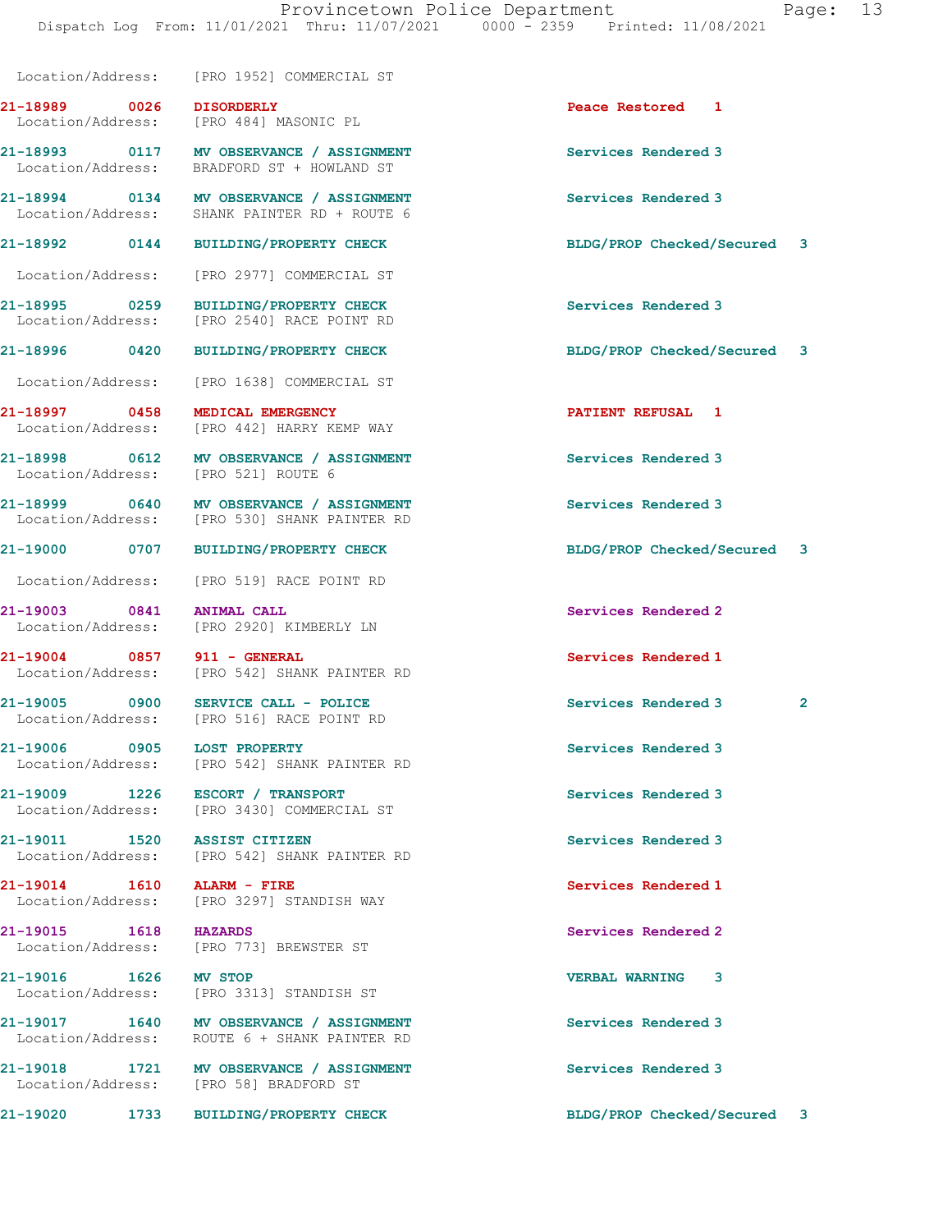Location/Address: [PRO 1952] COMMERCIAL ST

21-18989 0026 DISORDERLY Peace Restored 1 Location/Address: [PRO 484] MASONIC PL

Location/Address: [PRO 521] ROUTE 6

21-18993 0117 MV OBSERVANCE / ASSIGNMENT Services Rendered 3 Location/Address: BRADFORD ST + HOWLAND ST

21-18994 0134 MV OBSERVANCE / ASSIGNMENT Services Rendered 3<br>
Location/Address: SHANK PAINTER RD + ROUTE 6 SHANK PAINTER RD + ROUTE 6

Location/Address: [PRO 2977] COMMERCIAL ST

21-18995 0259 BUILDING/PROPERTY CHECK Services Rendered 3 Location/Address: [PRO 2540] RACE POINT RD

Location/Address: [PRO 1638] COMMERCIAL ST

Location/Address: [PRO 442] HARRY KEMP WAY

21-18998 0612 MV OBSERVANCE / ASSIGNMENT Services Rendered 3

21-18999 0640 MV OBSERVANCE / ASSIGNMENT Services Rendered 3 Location/Address: [PRO 530] SHANK PAINTER RD

Location/Address: [PRO 519] RACE POINT RD

21-19003 0841 ANIMAL CALL Services Rendered 2 Location/Address: [PRO 2920] KIMBERLY LN

21-19004 0857 911 - GENERAL 21-19004 **Services Rendered 1**<br>
Location/Address: [PRO 542] SHANK PAINTER RD Location/Address: [PRO 542] SHANK PAINTER RD

Location/Address: [PRO 516] RACE POINT RD

21-19006 0905 LOST PROPERTY **Services Rendered 3** Location/Address: [PRO 542] SHANK PAINTER RD

21-19009 1226 ESCORT / TRANSPORT Services Rendered 3 Location/Address: [PRO 3430] COMMERCIAL ST

21-19011 1520 ASSIST CITIZEN Services Rendered 3 Location/Address: [PRO 542] SHANK PAINTER RD

21-19014 1610 ALARM - FIRE<br>
Location/Address: [PRO 3297] STANDISH WAY<br>
Services Rendered 1 [PRO 3297] STANDISH WAY

21-19015 1618 HAZARDS Services Rendered 2 Location/Address: [PRO 773] BREWSTER ST

21-19016 1626 MV STOP VERBAL WARNING 3 Location/Address: [PRO 3313] STANDISH ST

21-19017 1640 MV OBSERVANCE / ASSIGNMENT Services Rendered 3 Location/Address: ROUTE 6 + SHANK PAINTER RD

21-19018 1721 MV OBSERVANCE / ASSIGNMENT Services Rendered 3<br>
Location/Address: [PRO 58] BRADFORD ST [PRO 58] BRADFORD ST

21-18992 0144 BUILDING/PROPERTY CHECK BLDG/PROP Checked/Secured 3

21-18996 0420 BUILDING/PROPERTY CHECK BLDG/PROP Checked/Secured 3

21-18997 0458 MEDICAL EMERGENCY PATIENT REFUSAL 1

21-19000 0707 BUILDING/PROPERTY CHECK BLDG/PROP Checked/Secured 3

21-19005 0900 SERVICE CALL - POLICE 20 Services Rendered 3 2

21-19020 1733 BUILDING/PROPERTY CHECK BLDG/PROP Checked/Secured 3